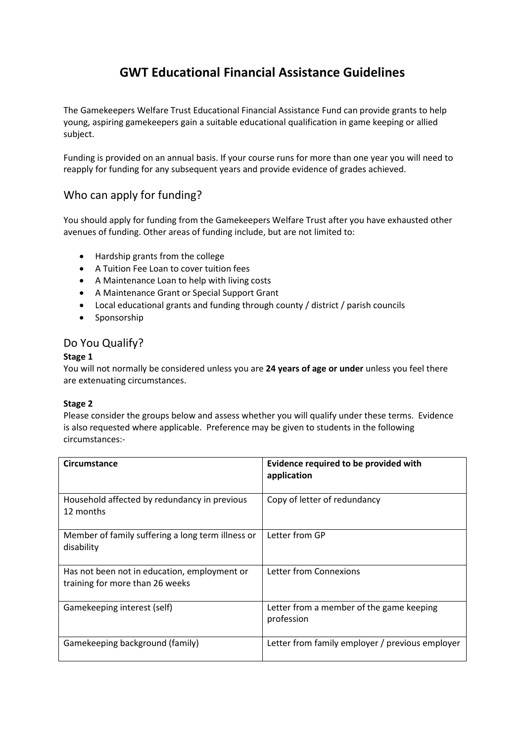# **GWT Educational Financial Assistance Guidelines**

The Gamekeepers Welfare Trust Educational Financial Assistance Fund can provide grants to help young, aspiring gamekeepers gain a suitable educational qualification in game keeping or allied subject.

Funding is provided on an annual basis. If your course runs for more than one year you will need to reapply for funding for any subsequent years and provide evidence of grades achieved.

## Who can apply for funding?

You should apply for funding from the Gamekeepers Welfare Trust after you have exhausted other avenues of funding. Other areas of funding include, but are not limited to:

- Hardship grants from the college
- A Tuition Fee Loan to cover tuition fees
- A Maintenance Loan to help with living costs
- A Maintenance Grant or Special Support Grant
- Local educational grants and funding through county / district / parish councils
- Sponsorship

### Do You Qualify?

#### **Stage 1**

You will not normally be considered unless you are **24 years of age or under** unless you feel there are extenuating circumstances.

#### **Stage 2**

Please consider the groups below and assess whether you will qualify under these terms. Evidence is also requested where applicable. Preference may be given to students in the following circumstances:-

| Circumstance                                                                    | Evidence required to be provided with<br>application   |
|---------------------------------------------------------------------------------|--------------------------------------------------------|
| Household affected by redundancy in previous<br>12 months                       | Copy of letter of redundancy                           |
| Member of family suffering a long term illness or<br>disability                 | Letter from GP                                         |
| Has not been not in education, employment or<br>training for more than 26 weeks | Letter from Connexions                                 |
| Gamekeeping interest (self)                                                     | Letter from a member of the game keeping<br>profession |
| Gamekeeping background (family)                                                 | Letter from family employer / previous employer        |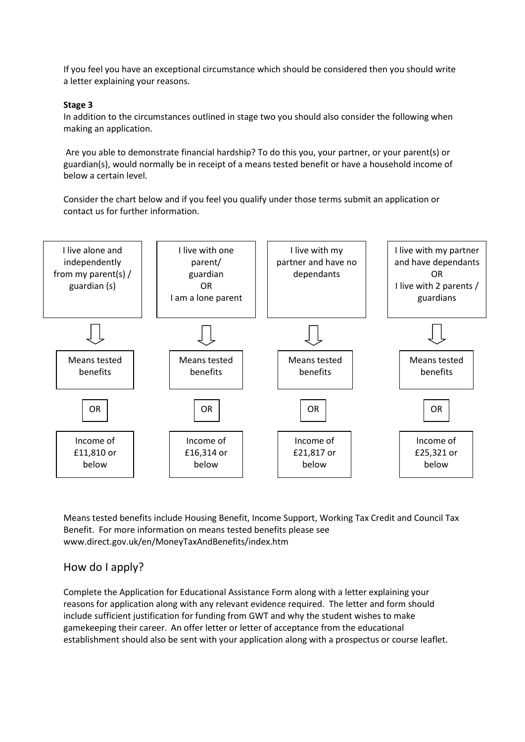If you feel you have an exceptional circumstance which should be considered then you should write a letter explaining your reasons.

#### **Stage 3**

In addition to the circumstances outlined in stage two you should also consider the following when making an application.

Are you able to demonstrate financial hardship? To do this you, your partner, or your parent(s) or guardian(s), would normally be in receipt of a means tested benefit or have a household income of below a certain level.

Consider the chart below and if you feel you qualify under those terms submit an application or contact us for further information.



Means tested benefits include Housing Benefit, Income Support, Working Tax Credit and Council Tax Benefit. For more information on means tested benefits please see www.direct.gov.uk/en/MoneyTaxAndBenefits/index.htm

## How do I apply?

Complete the Application for Educational Assistance Form along with a letter explaining your reasons for application along with any relevant evidence required. The letter and form should include sufficient justification for funding from GWT and why the student wishes to make gamekeeping their career. An offer letter or letter of acceptance from the educational establishment should also be sent with your application along with a prospectus or course leaflet.